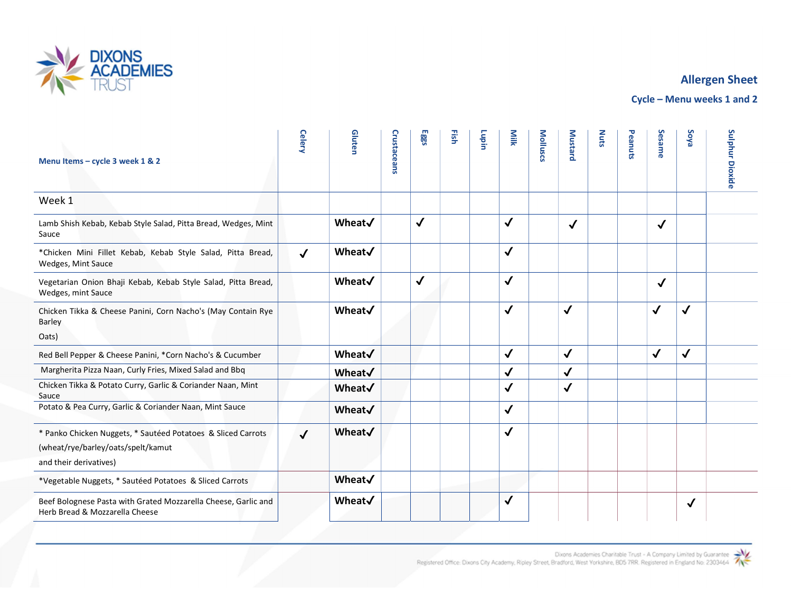

## Allergen Sheet

Cycle – Menu weeks 1 and 2

| Menu Items - cycle 3 week 1 & 2                                                                  | Celery       | Gluten | Crustaceans | Eggs         | 뜵 | Lupin | Milk         | Molluscs | <b>Mustard</b> | <b>Nuts</b> | Peanuts | Sesame       | <b>Soya</b>  | Sulphur<br><b>Dioxide</b> |  |
|--------------------------------------------------------------------------------------------------|--------------|--------|-------------|--------------|---|-------|--------------|----------|----------------|-------------|---------|--------------|--------------|---------------------------|--|
| Week 1                                                                                           |              |        |             |              |   |       |              |          |                |             |         |              |              |                           |  |
| Lamb Shish Kebab, Kebab Style Salad, Pitta Bread, Wedges, Mint<br>Sauce                          |              | Wheat√ |             | $\checkmark$ |   |       | $\checkmark$ |          | $\checkmark$   |             |         | $\checkmark$ |              |                           |  |
| *Chicken Mini Fillet Kebab, Kebab Style Salad, Pitta Bread,<br>Wedges, Mint Sauce                | $\checkmark$ | Wheat√ |             |              |   |       | $\checkmark$ |          |                |             |         |              |              |                           |  |
| Vegetarian Onion Bhaji Kebab, Kebab Style Salad, Pitta Bread,<br>Wedges, mint Sauce              |              | Wheat√ |             | $\checkmark$ |   |       | $\checkmark$ |          |                |             |         | $\checkmark$ |              |                           |  |
| Chicken Tikka & Cheese Panini, Corn Nacho's (May Contain Rye<br>Barley                           |              | Wheat√ |             |              |   |       | $\checkmark$ |          | $\checkmark$   |             |         | $\checkmark$ | $\checkmark$ |                           |  |
| Oats)                                                                                            |              |        |             |              |   |       |              |          |                |             |         |              |              |                           |  |
| Red Bell Pepper & Cheese Panini, *Corn Nacho's & Cucumber                                        |              | Wheat√ |             |              |   |       | $\checkmark$ |          | $\checkmark$   |             |         | $\checkmark$ | $\checkmark$ |                           |  |
| Margherita Pizza Naan, Curly Fries, Mixed Salad and Bbq                                          |              | Wheat√ |             |              |   |       | $\checkmark$ |          | $\checkmark$   |             |         |              |              |                           |  |
| Chicken Tikka & Potato Curry, Garlic & Coriander Naan, Mint<br>Sauce                             |              | Wheat√ |             |              |   |       | $\checkmark$ |          | $\checkmark$   |             |         |              |              |                           |  |
| Potato & Pea Curry, Garlic & Coriander Naan, Mint Sauce                                          |              | Wheat√ |             |              |   |       | $\checkmark$ |          |                |             |         |              |              |                           |  |
| * Panko Chicken Nuggets, * Sautéed Potatoes & Sliced Carrots                                     | $\checkmark$ | Wheat√ |             |              |   |       | $\checkmark$ |          |                |             |         |              |              |                           |  |
| (wheat/rye/barley/oats/spelt/kamut                                                               |              |        |             |              |   |       |              |          |                |             |         |              |              |                           |  |
| and their derivatives)                                                                           |              |        |             |              |   |       |              |          |                |             |         |              |              |                           |  |
| *Vegetable Nuggets, * Sautéed Potatoes & Sliced Carrots                                          |              | Wheat√ |             |              |   |       |              |          |                |             |         |              |              |                           |  |
| Beef Bolognese Pasta with Grated Mozzarella Cheese, Garlic and<br>Herb Bread & Mozzarella Cheese |              | Wheat√ |             |              |   |       | √            |          |                |             |         |              | $\checkmark$ |                           |  |
|                                                                                                  |              |        |             |              |   |       |              |          |                |             |         |              |              |                           |  |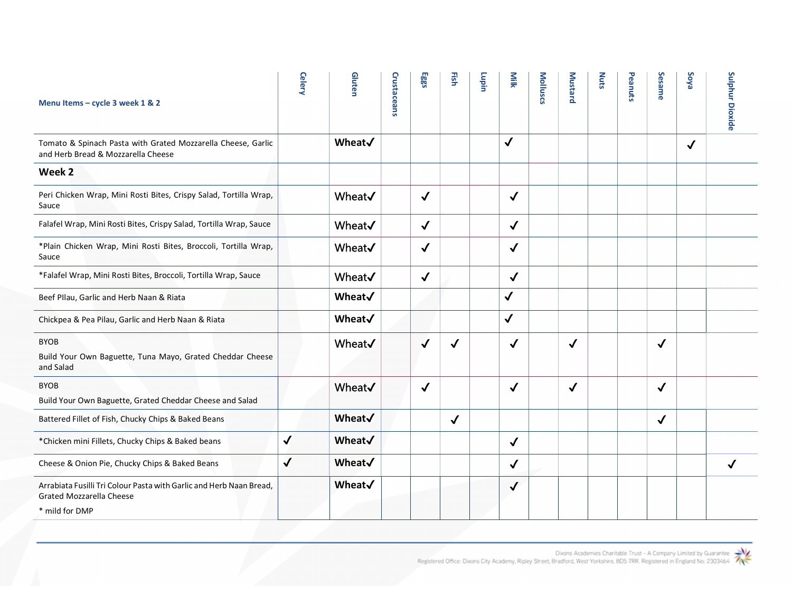| Menu Items - cycle 3 week 1 & 2                                                                        | <b>Celery</b> | Gluten  | Crustaceans | Eggs         | Fish         | Lupin | Milk         | Molluscs | <b>Mustard</b> | <b>Nuts</b> | Peanuts | Sesame       | <b>Soya</b>  | Sulphur Dioxide |
|--------------------------------------------------------------------------------------------------------|---------------|---------|-------------|--------------|--------------|-------|--------------|----------|----------------|-------------|---------|--------------|--------------|-----------------|
| Tomato & Spinach Pasta with Grated Mozzarella Cheese, Garlic<br>and Herb Bread & Mozzarella Cheese     |               | Wheat√  |             |              |              |       | $\checkmark$ |          |                |             |         |              | $\checkmark$ |                 |
| Week 2                                                                                                 |               |         |             |              |              |       |              |          |                |             |         |              |              |                 |
| Peri Chicken Wrap, Mini Rosti Bites, Crispy Salad, Tortilla Wrap,<br>Sauce                             |               | Wheat V |             | $\checkmark$ |              |       | $\checkmark$ |          |                |             |         |              |              |                 |
| Falafel Wrap, Mini Rosti Bites, Crispy Salad, Tortilla Wrap, Sauce                                     |               | Wheat√  |             | $\checkmark$ |              |       | $\checkmark$ |          |                |             |         |              |              |                 |
| *Plain Chicken Wrap, Mini Rosti Bites, Broccoli, Tortilla Wrap,<br>Sauce                               |               | Wheat V |             | $\checkmark$ |              |       | $\checkmark$ |          |                |             |         |              |              |                 |
| *Falafel Wrap, Mini Rosti Bites, Broccoli, Tortilla Wrap, Sauce                                        |               | Wheat V |             | $\checkmark$ |              |       | $\checkmark$ |          |                |             |         |              |              |                 |
| Beef Pllau, Garlic and Herb Naan & Riata                                                               |               | Wheat√  |             |              |              |       | $\checkmark$ |          |                |             |         |              |              |                 |
| Chickpea & Pea Pilau, Garlic and Herb Naan & Riata                                                     |               | Wheat√  |             |              |              |       | $\checkmark$ |          |                |             |         |              |              |                 |
| <b>BYOB</b><br>Build Your Own Baguette, Tuna Mayo, Grated Cheddar Cheese<br>and Salad                  |               | Wheat V |             | $\checkmark$ | $\checkmark$ |       | $\checkmark$ |          | √              |             |         | $\checkmark$ |              |                 |
| <b>BYOB</b><br>Build Your Own Baguette, Grated Cheddar Cheese and Salad                                |               | Wheat V |             | $\checkmark$ |              |       | $\checkmark$ |          | ✓              |             |         | $\checkmark$ |              |                 |
| Battered Fillet of Fish, Chucky Chips & Baked Beans                                                    |               | Wheat√  |             |              | $\checkmark$ |       |              |          |                |             |         | $\checkmark$ |              |                 |
| *Chicken mini Fillets, Chucky Chips & Baked beans                                                      | $\checkmark$  | Wheat√  |             |              |              |       | $\checkmark$ |          |                |             |         |              |              |                 |
| Cheese & Onion Pie, Chucky Chips & Baked Beans                                                         | $\checkmark$  | Wheat√  |             |              |              |       | $\checkmark$ |          |                |             |         |              |              |                 |
| Arrabiata Fusilli Tri Colour Pasta with Garlic and Herb Naan Bread,<br><b>Grated Mozzarella Cheese</b> |               | Wheat√  |             |              |              |       | $\checkmark$ |          |                |             |         |              |              |                 |
| * mild for DMP                                                                                         |               |         |             |              |              |       |              |          |                |             |         |              |              |                 |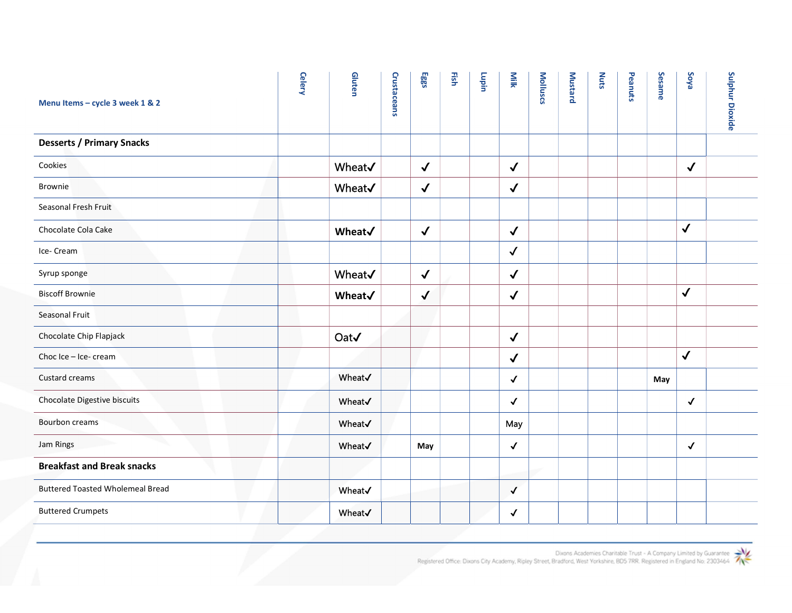| Menu Items - cycle 3 week 1 & 2         | <b>Celery</b> | Gluten        | Crustaceans | Eggs         | Fish | Lupin | Milk         | <b>Molluscs</b> | <b>Mustard</b> | <b>Nuts</b> | Peanuts | Sesame | <b>Soya</b>  |  |
|-----------------------------------------|---------------|---------------|-------------|--------------|------|-------|--------------|-----------------|----------------|-------------|---------|--------|--------------|--|
| <b>Desserts / Primary Snacks</b>        |               |               |             |              |      |       |              |                 |                |             |         |        |              |  |
| Cookies                                 |               | Wheat√        |             | $\checkmark$ |      |       | $\checkmark$ |                 |                |             |         |        | $\checkmark$ |  |
| Brownie                                 |               | Wheat√        |             | $\checkmark$ |      |       | $\checkmark$ |                 |                |             |         |        |              |  |
| Seasonal Fresh Fruit                    |               |               |             |              |      |       |              |                 |                |             |         |        |              |  |
| Chocolate Cola Cake                     |               | Wheat√        |             | $\checkmark$ |      |       | $\checkmark$ |                 |                |             |         |        | $\checkmark$ |  |
| Ice-Cream                               |               |               |             |              |      |       | $\checkmark$ |                 |                |             |         |        |              |  |
| Syrup sponge                            |               | <b>Wheat√</b> |             | $\checkmark$ |      |       | $\checkmark$ |                 |                |             |         |        |              |  |
| <b>Biscoff Brownie</b>                  |               | Wheat√        |             | $\checkmark$ |      |       | $\checkmark$ |                 |                |             |         |        | $\sqrt{ }$   |  |
| Seasonal Fruit                          |               |               |             |              |      |       |              |                 |                |             |         |        |              |  |
| Chocolate Chip Flapjack                 |               | Oat√          |             |              |      |       | $\checkmark$ |                 |                |             |         |        |              |  |
| Choc Ice - Ice- cream                   |               |               |             |              |      |       | $\checkmark$ |                 |                |             |         |        | $\checkmark$ |  |
| Custard creams                          |               | Wheat√        |             |              |      |       | $\checkmark$ |                 |                |             |         | May    |              |  |
| Chocolate Digestive biscuits            |               | Wheat√        |             |              |      |       | $\checkmark$ |                 |                |             |         |        | $\checkmark$ |  |
| <b>Bourbon creams</b>                   |               | Wheat√        |             |              |      |       | May          |                 |                |             |         |        |              |  |
| Jam Rings                               |               | Wheat√        |             | May          |      |       | $\checkmark$ |                 |                |             |         |        | $\checkmark$ |  |
| <b>Breakfast and Break snacks</b>       |               |               |             |              |      |       |              |                 |                |             |         |        |              |  |
| <b>Buttered Toasted Wholemeal Bread</b> |               | Wheat√        |             |              |      |       | $\checkmark$ |                 |                |             |         |        |              |  |
| <b>Buttered Crumpets</b>                |               | Wheat√        |             |              |      |       | $\checkmark$ |                 |                |             |         |        |              |  |

Dixons Academies Charitable Trust - A Company Limited by Guarantee<br>Registered Office: Dixons City Academy, Ripley Street, Bradford, West Yorkshire, BO5 7RR. Registered in England No: 2303464